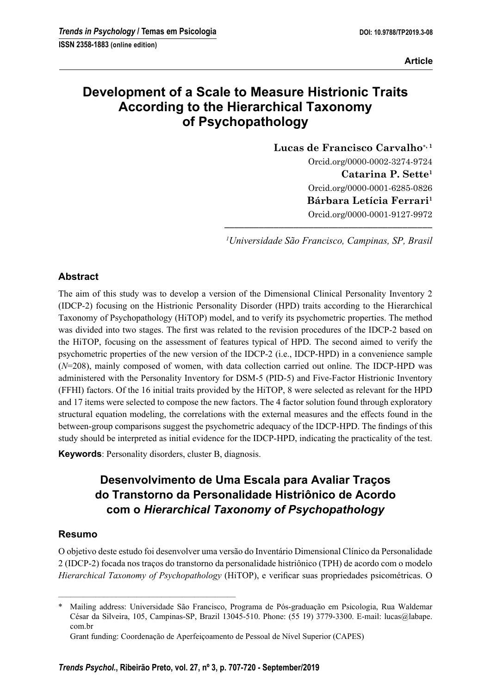# **Development of a Scale to Measure Histrionic Traits According to the Hierarchical Taxonomy of Psychopathology**

**Lucas de Francisco Carvalho, 1** Orcid.org/0000-0002-3274-9724 **Catarina P. Sette1** Orcid.org/0000-0001-6285-0826 **Bárbara Letícia Ferrari1** Orcid.org/0000-0001-9127-9972

**––––––––––––––––––––––––––––––––––––––––––** *1 Universidade São Francisco, Campinas, SP, Brasil*

# **Abstract**

The aim of this study was to develop a version of the Dimensional Clinical Personality Inventory 2 (IDCP-2) focusing on the Histrionic Personality Disorder (HPD) traits according to the Hierarchical Taxonomy of Psychopathology (HiTOP) model, and to verify its psychometric properties. The method was divided into two stages. The first was related to the revision procedures of the IDCP-2 based on the HiTOP, focusing on the assessment of features typical of HPD. The second aimed to verify the psychometric properties of the new version of the IDCP-2 (i.e., IDCP-HPD) in a convenience sample (*N*=208), mainly composed of women, with data collection carried out online. The IDCP-HPD was administered with the Personality Inventory for DSM-5 (PID-5) and Five-Factor Histrionic Inventory (FFHI) factors. Of the 16 initial traits provided by the HiTOP, 8 were selected as relevant for the HPD and 17 items were selected to compose the new factors. The 4 factor solution found through exploratory structural equation modeling, the correlations with the external measures and the effects found in the between-group comparisons suggest the psychometric adequacy of the IDCP-HPD. The findings of this study should be interpreted as initial evidence for the IDCP-HPD, indicating the practicality of the test.

**Keywords**: Personality disorders, cluster B, diagnosis.

–––––––––––––––––––––––––––––––––––––––––––

# **Desenvolvimento de Uma Escala para Avaliar Traços do Transtorno da Personalidade Histriônico de Acordo com o** *Hierarchical Taxonomy of Psychopathology*

#### **Resumo**

O objetivo deste estudo foi desenvolver uma versão do Inventário Dimensional Clínico da Personalidade 2 (IDCP-2) focada nos traços do transtorno da personalidade histriônico (TPH) de acordo com o modelo *Hierarchical Taxonomy of Psychopathology* (HiTOP), e verificar suas propriedades psicométricas. O

<sup>\*</sup> Mailing address: Universidade São Francisco, Programa de Pós-graduação em Psicologia, Rua Waldemar César da Silveira, 105, Campinas-SP, Brazil 13045-510. Phone: (55 19) 3779-3300. E-mail: lucas@labape. com.br

Grant funding: Coordenação de Aperfeiçoamento de Pessoal de Nível Superior (CAPES)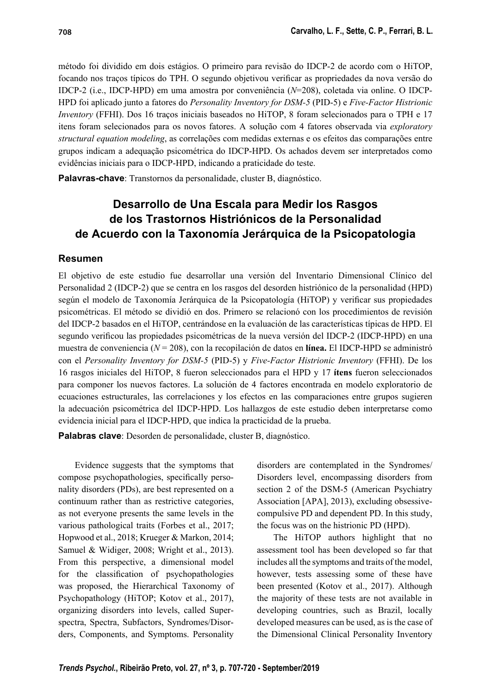método foi dividido em dois estágios. O primeiro para revisão do IDCP-2 de acordo com o HiTOP, focando nos traços típicos do TPH. O segundo objetivou verificar as propriedades da nova versão do IDCP-2 (i.e., IDCP-HPD) em uma amostra por conveniência (*N*=208), coletada via online. O IDCP-HPD foi aplicado junto a fatores do *Personality Inventory for DSM-5* (PID-5) e *Five-Factor Histrionic Inventory* (FFHI). Dos 16 traços iniciais baseados no HiTOP, 8 foram selecionados para o TPH e 17 itens foram selecionados para os novos fatores. A solução com 4 fatores observada via *exploratory structural equation modeling*, as correlações com medidas externas e os efeitos das comparações entre grupos indicam a adequação psicométrica do IDCP-HPD. Os achados devem ser interpretados como evidências iniciais para o IDCP-HPD, indicando a praticidade do teste.

**Palavras-chave**: Transtornos da personalidade, cluster B, diagnóstico.

# **Desarrollo de Una Escala para Medir los Rasgos de los Trastornos Histriónicos de la Personalidad de Acuerdo con la Taxonomía Jerárquica de la Psicopatologia**

#### **Resumen**

El objetivo de este estudio fue desarrollar una versión del Inventario Dimensional Clínico del Personalidad 2 (IDCP-2) que se centra en los rasgos del desorden histriónico de la personalidad (HPD) según el modelo de Taxonomía Jerárquica de la Psicopatología (HiTOP) y verificar sus propiedades psicométricas. El método se dividió en dos. Primero se relacionó con los procedimientos de revisión del IDCP-2 basados en el HiTOP, centrándose en la evaluación de las características típicas de HPD. El segundo verificou las propiedades psicométricas de la nueva versión del IDCP-2 (IDCP-HPD) en una muestra de conveniencia (*N* = 208), con la recopilación de datos en **línea.** El IDCP-HPD se administró con el *Personality Inventory for DSM-5* (PID-5) y *Five-Factor Histrionic Inventory* (FFHI). De los 16 rasgos iniciales del HiTOP, 8 fueron seleccionados para el HPD y 17 **ítens** fueron seleccionados para componer los nuevos factores. La solución de 4 factores encontrada en modelo exploratorio de ecuaciones estructurales, las correlaciones y los efectos en las comparaciones entre grupos sugieren la adecuación psicométrica del IDCP-HPD. Los hallazgos de este estudio deben interpretarse como evidencia inicial para el IDCP-HPD, que indica la practicidad de la prueba.

**Palabras clave**: Desorden de personalidade, cluster B, diagnóstico.

Evidence suggests that the symptoms that compose psychopathologies, specifically personality disorders (PDs), are best represented on a continuum rather than as restrictive categories, as not everyone presents the same levels in the various pathological traits (Forbes et al., 2017; Hopwood et al., 2018; Krueger & Markon, 2014; Samuel & Widiger, 2008; Wright et al., 2013). From this perspective, a dimensional model for the classification of psychopathologies was proposed, the Hierarchical Taxonomy of Psychopathology (HiTOP; Kotov et al., 2017), organizing disorders into levels, called Superspectra, Spectra, Subfactors, Syndromes/Disorders, Components, and Symptoms. Personality

disorders are contemplated in the Syndromes/ Disorders level, encompassing disorders from section 2 of the DSM-5 (American Psychiatry Association [APA], 2013), excluding obsessivecompulsive PD and dependent PD. In this study, the focus was on the histrionic PD (HPD).

The HiTOP authors highlight that no assessment tool has been developed so far that includes all the symptoms and traits of the model, however, tests assessing some of these have been presented (Kotov et al., 2017). Although the majority of these tests are not available in developing countries, such as Brazil, locally developed measures can be used, as is the case of the Dimensional Clinical Personality Inventory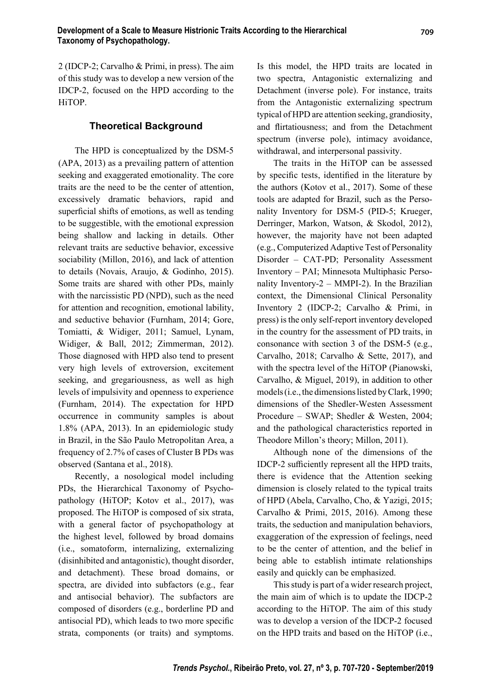2 (IDCP-2; Carvalho & Primi, in press). The aim of this study was to develop a new version of the IDCP-2, focused on the HPD according to the HiTOP.

#### **Theoretical Background**

The HPD is conceptualized by the DSM-5 (APA, 2013) as a prevailing pattern of attention seeking and exaggerated emotionality. The core traits are the need to be the center of attention, excessively dramatic behaviors, rapid and superficial shifts of emotions, as well as tending to be suggestible, with the emotional expression being shallow and lacking in details. Other relevant traits are seductive behavior, excessive sociability (Millon, 2016), and lack of attention to details (Novais, Araujo, & Godinho, 2015). Some traits are shared with other PDs, mainly with the narcissistic PD (NPD), such as the need for attention and recognition, emotional lability, and seductive behavior (Furnham, 2014; Gore, Tomiatti, & Widiger, 2011; Samuel, Lynam, Widiger, & Ball, 2012; Zimmerman, 2012). Those diagnosed with HPD also tend to present very high levels of extroversion, excitement seeking, and gregariousness, as well as high levels of impulsivity and openness to experience (Furnham, 2014). The expectation for HPD occurrence in community samples is about 1.8% (APA, 2013). In an epidemiologic study in Brazil, in the São Paulo Metropolitan Area, a frequency of 2.7% of cases of Cluster B PDs was observed (Santana et al., 2018).

Recently, a nosological model including PDs, the Hierarchical Taxonomy of Psychopathology (HiTOP; Kotov et al., 2017), was proposed. The HiTOP is composed of six strata, with a general factor of psychopathology at the highest level, followed by broad domains (i.e., somatoform, internalizing, externalizing (disinhibited and antagonistic), thought disorder, and detachment). These broad domains, or spectra, are divided into subfactors (e.g., fear and antisocial behavior). The subfactors are composed of disorders (e.g., borderline PD and antisocial PD), which leads to two more specific strata, components (or traits) and symptoms.

Is this model, the HPD traits are located in two spectra, Antagonistic externalizing and Detachment (inverse pole). For instance, traits from the Antagonistic externalizing spectrum typical of HPD are attention seeking, grandiosity, and flirtatiousness; and from the Detachment spectrum (inverse pole), intimacy avoidance, withdrawal, and interpersonal passivity.

The traits in the HiTOP can be assessed by specific tests, identified in the literature by the authors (Kotov et al., 2017). Some of these tools are adapted for Brazil, such as the Personality Inventory for DSM-5 (PID-5; Krueger, Derringer, Markon, Watson, & Skodol, 2012), however, the majority have not been adapted (e.g., Computerized Adaptive Test of Personality Disorder – CAT-PD; Personality Assessment Inventory – PAI; Minnesota Multiphasic Personality Inventory-2 – MMPI-2). In the Brazilian context, the Dimensional Clinical Personality Inventory 2 (IDCP-2; Carvalho & Primi, in press) is the only self-report inventory developed in the country for the assessment of PD traits, in consonance with section 3 of the DSM-5 (e.g., Carvalho, 2018; Carvalho & Sette, 2017), and with the spectra level of the HiTOP (Pianowski, Carvalho, & Miguel, 2019), in addition to other models (i.e., the dimensions listed by Clark, 1990; dimensions of the Shedler-Westen Assessment Procedure – SWAP; Shedler & Westen, 2004; and the pathological characteristics reported in Theodore Millon's theory; Millon, 2011).

Although none of the dimensions of the IDCP-2 sufficiently represent all the HPD traits, there is evidence that the Attention seeking dimension is closely related to the typical traits of HPD (Abela, Carvalho, Cho, & Yazigi, 2015; Carvalho & Primi, 2015, 2016). Among these traits, the seduction and manipulation behaviors, exaggeration of the expression of feelings, need to be the center of attention, and the belief in being able to establish intimate relationships easily and quickly can be emphasized.

This study is part of a wider research project, the main aim of which is to update the IDCP-2 according to the HiTOP. The aim of this study was to develop a version of the IDCP-2 focused on the HPD traits and based on the HiTOP (i.e.,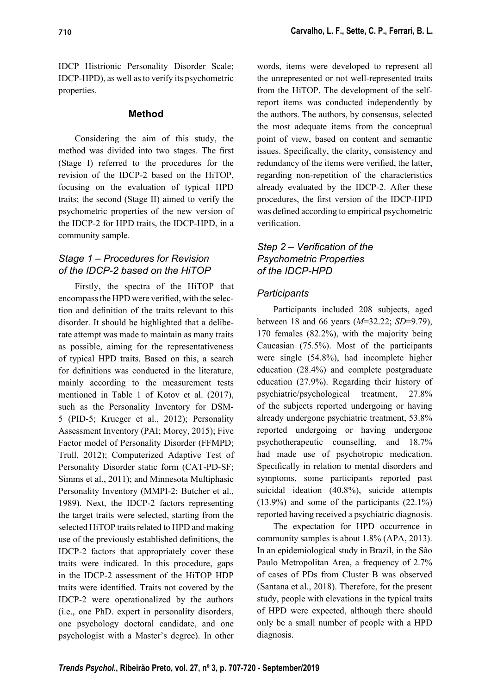IDCP Histrionic Personality Disorder Scale; IDCP-HPD), as well as to verify its psychometric properties.

#### **Method**

Considering the aim of this study, the method was divided into two stages. The first (Stage I) referred to the procedures for the revision of the IDCP-2 based on the HiTOP, focusing on the evaluation of typical HPD traits; the second (Stage II) aimed to verify the psychometric properties of the new version of the IDCP-2 for HPD traits, the IDCP-HPD, in a community sample.

### *Stage 1 – Procedures for Revision of the IDCP-2 based on the HiTOP*

Firstly, the spectra of the HiTOP that encompass the HPD were verified, with the selection and definition of the traits relevant to this disorder. It should be highlighted that a deliberate attempt was made to maintain as many traits as possible, aiming for the representativeness of typical HPD traits. Based on this, a search for definitions was conducted in the literature, mainly according to the measurement tests mentioned in Table 1 of Kotov et al. (2017), such as the Personality Inventory for DSM-5 (PID-5; Krueger et al., 2012); Personality Assessment Inventory (PAI; Morey, 2015); Five Factor model of Personality Disorder (FFMPD; Trull, 2012); Computerized Adaptive Test of Personality Disorder static form (CAT-PD-SF; Simms et al., 2011); and Minnesota Multiphasic Personality Inventory (MMPI-2; Butcher et al., 1989). Next, the IDCP-2 factors representing the target traits were selected, starting from the selected HiTOP traits related to HPD and making use of the previously established definitions, the IDCP-2 factors that appropriately cover these traits were indicated. In this procedure, gaps in the IDCP-2 assessment of the HiTOP HDP traits were identified. Traits not covered by the IDCP-2 were operationalized by the authors (i.e., one PhD. expert in personality disorders, one psychology doctoral candidate, and one psychologist with a Master's degree). In other words, items were developed to represent all the unrepresented or not well-represented traits from the HiTOP. The development of the selfreport items was conducted independently by the authors. The authors, by consensus, selected the most adequate items from the conceptual point of view, based on content and semantic issues. Specifically, the clarity, consistency and redundancy of the items were verified, the latter, regarding non-repetition of the characteristics already evaluated by the IDCP-2. After these procedures, the first version of the IDCP-HPD was defined according to empirical psychometric verification

# *Step 2 – Verification of the Psychometric Properties of the IDCP-HPD*

# *Participants*

Participants included 208 subjects, aged between 18 and 66 years (*M*=32.22; *SD*=9.79), 170 females (82.2%), with the majority being Caucasian (75.5%). Most of the participants were single (54.8%), had incomplete higher education (28.4%) and complete postgraduate education (27.9%). Regarding their history of psychiatric/psychological treatment, 27.8% of the subjects reported undergoing or having already undergone psychiatric treatment, 53.8% reported undergoing or having undergone psychotherapeutic counselling, and 18.7% had made use of psychotropic medication. Specifically in relation to mental disorders and symptoms, some participants reported past suicidal ideation (40.8%), suicide attempts (13.9%) and some of the participants (22.1%) reported having received a psychiatric diagnosis.

The expectation for HPD occurrence in community samples is about 1.8% (APA, 2013). In an epidemiological study in Brazil, in the São Paulo Metropolitan Area, a frequency of 2.7% of cases of PDs from Cluster B was observed (Santana et al., 2018). Therefore, for the present study, people with elevations in the typical traits of HPD were expected, although there should only be a small number of people with a HPD diagnosis.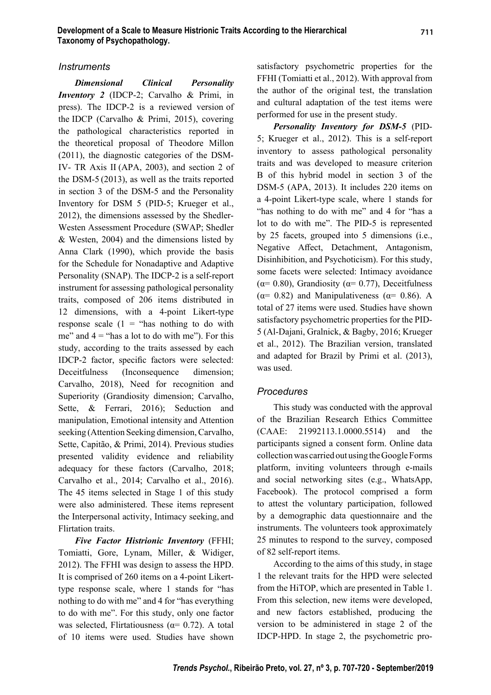#### *Instruments*

*Dimensional Clinical Personality Inventory 2* (IDCP-2; Carvalho & Primi, in press). The IDCP-2 is a reviewed version of the IDCP (Carvalho & Primi, 2015), covering the pathological characteristics reported in the theoretical proposal of Theodore Millon (2011), the diagnostic categories of the DSM-IV- TR Axis II (APA, 2003), and section 2 of the DSM-5 (2013), as well as the traits reported in section 3 of the DSM-5 and the Personality Inventory for DSM 5 (PID-5; Krueger et al., 2012), the dimensions assessed by the Shedler-Westen Assessment Procedure (SWAP; Shedler & Westen, 2004) and the dimensions listed by Anna Clark (1990), which provide the basis for the Schedule for Nonadaptive and Adaptive Personality (SNAP). The IDCP-2 is a self-report instrument for assessing pathological personality traits, composed of 206 items distributed in 12 dimensions, with a 4-point Likert-type response scale  $(1 - \text{``has nothing to do with})$ me" and  $4 =$  "has a lot to do with me"). For this study, according to the traits assessed by each IDCP-2 factor, specific factors were selected: Deceitfulness (Inconsequence dimension; Carvalho, 2018), Need for recognition and Superiority (Grandiosity dimension; Carvalho, Sette, & Ferrari, 2016); Seduction and manipulation, Emotional intensity and Attention seeking (Attention Seeking dimension, Carvalho, Sette, Capitão, & Primi, 2014). Previous studies presented validity evidence and reliability adequacy for these factors (Carvalho, 2018; Carvalho et al., 2014; Carvalho et al., 2016). The 45 items selected in Stage 1 of this study were also administered. These items represent the Interpersonal activity, Intimacy seeking, and Flirtation traits.

*Five Factor Histrionic Inventory* (FFHI; Tomiatti, Gore, Lynam, Miller, & Widiger, 2012). The FFHI was design to assess the HPD. It is comprised of 260 items on a 4-point Likerttype response scale, where 1 stands for "has nothing to do with me" and 4 for "has everything to do with me". For this study, only one factor was selected, Flirtatiousness ( $\alpha$ = 0.72). A total of 10 items were used. Studies have shown

satisfactory psychometric properties for the FFHI (Tomiatti et al., 2012). With approval from the author of the original test, the translation and cultural adaptation of the test items were performed for use in the present study.

*Personality Inventory for DSM-5* (PID-5; Krueger et al., 2012). This is a self-report inventory to assess pathological personality traits and was developed to measure criterion B of this hybrid model in section 3 of the DSM-5 (APA, 2013). It includes 220 items on a 4-point Likert-type scale, where 1 stands for "has nothing to do with me" and 4 for "has a lot to do with me". The PID-5 is represented by 25 facets, grouped into 5 dimensions (i.e., Negative Affect, Detachment, Antagonism, Disinhibition, and Psychoticism). For this study, some facets were selected: Intimacy avoidance ( $\alpha$ = 0.80), Grandiosity ( $\alpha$ = 0.77), Deceitfulness ( $\alpha$ = 0.82) and Manipulativeness ( $\alpha$ = 0.86). A total of 27 items were used. Studies have shown satisfactory psychometric properties for the PID-5 (Al-Dajani, Gralnick, & Bagby, 2016; Krueger et al., 2012). The Brazilian version, translated and adapted for Brazil by Primi et al. (2013), was used.

#### *Procedures*

This study was conducted with the approval of the Brazilian Research Ethics Committee (CAAE: 21992113.1.0000.5514) and the participants signed a consent form. Online data collection was carried out using the Google Forms platform, inviting volunteers through e-mails and social networking sites (e.g., WhatsApp, Facebook). The protocol comprised a form to attest the voluntary participation, followed by a demographic data questionnaire and the instruments. The volunteers took approximately 25 minutes to respond to the survey, composed of 82 self-report items.

According to the aims of this study, in stage 1 the relevant traits for the HPD were selected from the HiTOP, which are presented in Table 1. From this selection, new items were developed, and new factors established, producing the version to be administered in stage 2 of the IDCP-HPD. In stage 2, the psychometric pro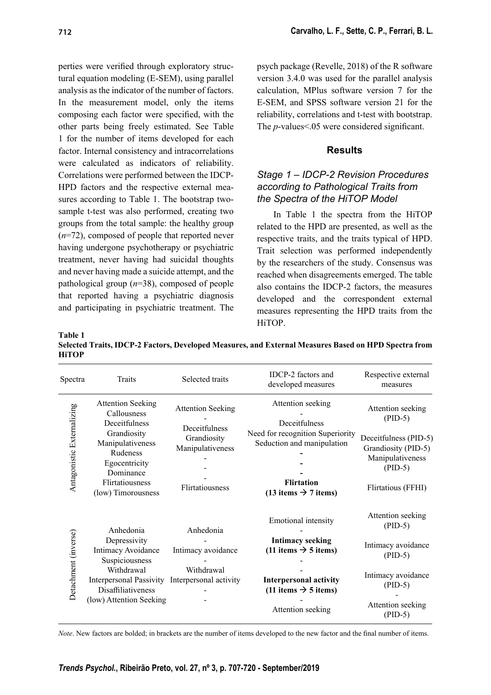perties were verified through exploratory structural equation modeling (E-SEM), using parallel analysis as the indicator of the number of factors. In the measurement model, only the items composing each factor were specified, with the other parts being freely estimated. See Table 1 for the number of items developed for each factor. Internal consistency and intracorrelations were calculated as indicators of reliability. Correlations were performed between the IDCP-HPD factors and the respective external measures according to Table 1. The bootstrap twosample t-test was also performed, creating two groups from the total sample: the healthy group (*n*=72), composed of people that reported never having undergone psychotherapy or psychiatric treatment, never having had suicidal thoughts and never having made a suicide attempt, and the pathological group (*n*=38), composed of people that reported having a psychiatric diagnosis and participating in psychiatric treatment. The

psych package (Revelle, 2018) of the R software version 3.4.0 was used for the parallel analysis calculation, MPlus software version 7 for the E-SEM, and SPSS software version 21 for the reliability, correlations and t-test with bootstrap. The *p*-values < 05 were considered significant.

#### **Results**

## *Stage 1 – IDCP-2 Revision Procedures according to Pathological Traits from the Spectra of the HiTOP Model*

In Table 1 the spectra from the HiTOP related to the HPD are presented, as well as the respective traits, and the traits typical of HPD. Trait selection was performed independently by the researchers of the study. Consensus was reached when disagreements emerged. The table also contains the IDCP-2 factors, the measures developed and the correspondent external measures representing the HPD traits from the HiTOP.

**Table 1 Selected Traits, IDCP-2 Factors, Developed Measures, and External Measures Based on HPD Spectra from HiTOP**

| Spectra                    | Traits                                                                                                                                                                         | Selected traits                                                                                 | IDCP-2 factors and<br>developed measures                                                                                                                                                                       | Respective external<br>measures                                                                                                        |
|----------------------------|--------------------------------------------------------------------------------------------------------------------------------------------------------------------------------|-------------------------------------------------------------------------------------------------|----------------------------------------------------------------------------------------------------------------------------------------------------------------------------------------------------------------|----------------------------------------------------------------------------------------------------------------------------------------|
| Antagonistic Externalizing | <b>Attention Seeking</b><br>Callousness<br>Deceitfulness<br>Grandiosity<br>Manipulativeness<br>Rudeness<br>Egocentricity<br>Dominance<br>Flirtatiousness<br>(low) Timorousness | <b>Attention Seeking</b><br>Deceitfulness<br>Grandiosity<br>Manipulativeness<br>Flirtatiousness | Attention seeking<br>Deceitfulness<br>Need for recognition Superiority<br>Seduction and manipulation<br><b>Flirtation</b><br>$(13 \text{ items } \rightarrow 7 \text{ items})$                                 | Attention seeking<br>$(PID-5)$<br>Deceitfulness (PID-5)<br>Grandiosity (PID-5)<br>Manipulativeness<br>$(PID-5)$<br>Flirtatious (FFHI)  |
| Detachment (inverse)       | Anhedonia<br>Depressivity<br>Intimacy Avoidance<br>Suspiciousness<br>Withdrawal<br><b>Interpersonal Passivity</b><br><b>Disaffiliativeness</b><br>(low) Attention Seeking      | Anhedonia<br>Intimacy avoidance<br>Withdrawal<br>Interpersonal activity                         | Emotional intensity<br><b>Intimacy seeking</b><br>$(11 \text{ items } \rightarrow 5 \text{ items})$<br><b>Interpersonal activity</b><br>$(11 \text{ items } \rightarrow 5 \text{ items})$<br>Attention seeking | Attention seeking<br>$(PID-5)$<br>Intimacy avoidance<br>$(PID-5)$<br>Intimacy avoidance<br>$(PID-5)$<br>Attention seeking<br>$(PID-5)$ |

*Note*. New factors are bolded; in brackets are the number of items developed to the new factor and the final number of items.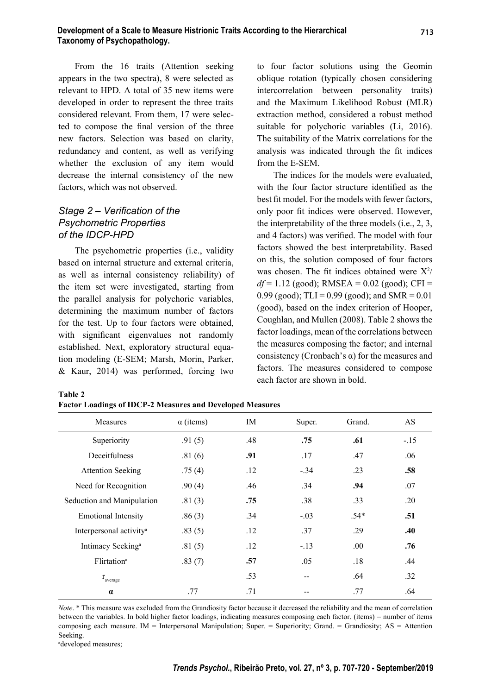From the 16 traits (Attention seeking appears in the two spectra), 8 were selected as relevant to HPD. A total of 35 new items were developed in order to represent the three traits considered relevant. From them, 17 were selected to compose the final version of the three new factors. Selection was based on clarity, redundancy and content, as well as verifying whether the exclusion of any item would decrease the internal consistency of the new factors, which was not observed.

## *Stage 2 – Verification of the Psychometric Properties of the IDCP-HPD*

The psychometric properties (i.e., validity based on internal structure and external criteria, as well as internal consistency reliability) of the item set were investigated, starting from the parallel analysis for polychoric variables, determining the maximum number of factors for the test. Up to four factors were obtained, with significant eigenvalues not randomly established. Next, exploratory structural equation modeling (E-SEM; Marsh, Morin, Parker, & Kaur, 2014) was performed, forcing two

**Factor Loadings of IDCP-2 Measures and Developed Measures**

to four factor solutions using the Geomin oblique rotation (typically chosen considering intercorrelation between personality traits) and the Maximum Likelihood Robust (MLR) extraction method, considered a robust method suitable for polychoric variables (Li, 2016). The suitability of the Matrix correlations for the analysis was indicated through the fit indices from the E-SEM.

 **713**

The indices for the models were evaluated, with the four factor structure identified as the best fit model. For the models with fewer factors, only poor fit indices were observed. However, the interpretability of the three models (i.e., 2, 3, and 4 factors) was verified. The model with four factors showed the best interpretability. Based on this, the solution composed of four factors was chosen. The fit indices obtained were  $X^2$ / *df* = 1.12 (good); RMSEA = 0.02 (good); CFI = 0.99 (good); TLI =  $0.99$  (good); and SMR =  $0.01$ (good), based on the index criterion of Hooper, Coughlan, and Mullen (2008). Table 2 shows the factor loadings, mean of the correlations between the measures composing the factor; and internal consistency (Cronbach's  $\alpha$ ) for the measures and factors. The measures considered to compose each factor are shown in bold.

| Measures                            | $\alpha$ (items) | IM  | Super. | Grand. | AS     |
|-------------------------------------|------------------|-----|--------|--------|--------|
| Superiority                         | .91(5)           | .48 | .75    | .61    | $-.15$ |
| Deceitfulness                       | .81(6)           | .91 | .17    | .47    | .06    |
| <b>Attention Seeking</b>            | .75(4)           | .12 | $-.34$ | .23    | .58    |
| Need for Recognition                | .90(4)           | .46 | .34    | .94    | .07    |
| Seduction and Manipulation          | .81(3)           | .75 | .38    | .33    | .20    |
| <b>Emotional Intensity</b>          | .86(3)           | .34 | $-.03$ | $.54*$ | .51    |
| Interpersonal activity <sup>a</sup> | .83(5)           | .12 | .37    | .29    | .40    |
| Intimacy Seeking <sup>a</sup>       | .81(5)           | .12 | $-.13$ | .00    | .76    |
| Flirtation <sup>a</sup>             | .83(7)           | .57 | .05    | .18    | .44    |
| $r_{\text{average}}$                |                  | .53 |        | .64    | .32    |
| $\alpha$                            | .77              | .71 |        | .77    | .64    |

*Note*. \* This measure was excluded from the Grandiosity factor because it decreased the reliability and the mean of correlation between the variables. In bold higher factor loadings, indicating measures composing each factor. (items) = number of items composing each measure. IM = Interpersonal Manipulation; Super. = Superiority; Grand. = Grandiosity; AS = Attention Seeking.

a developed measures;

**Table 2**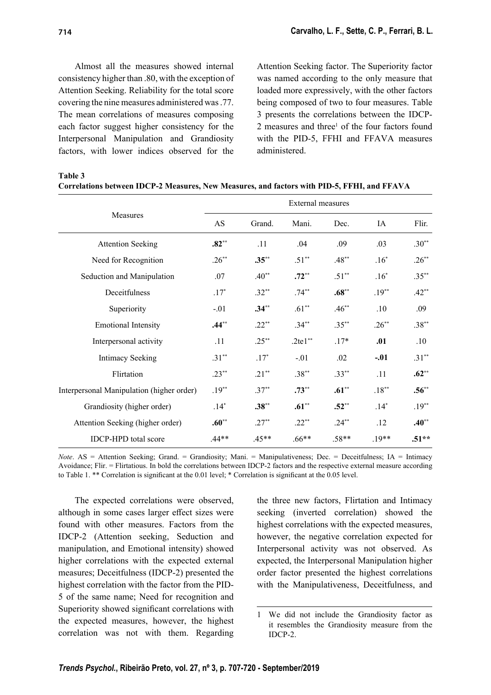Almost all the measures showed internal consistency higher than .80, with the exception of Attention Seeking. Reliability for the total score covering the nine measures administered was .77. The mean correlations of measures composing each factor suggest higher consistency for the Interpersonal Manipulation and Grandiosity factors, with lower indices observed for the

Attention Seeking factor. The Superiority factor was named according to the only measure that loaded more expressively, with the other factors being composed of two to four measures. Table 3 presents the correlations between the IDCP-2 measures and three<sup>1</sup> of the four factors found with the PID-5, FFHI and FFAVA measures administered.

**Table 3**

| Correlations between IDCP-2 Measures, New Measures, and factors with PID-5, FFHI, and FFAVA |  |  |
|---------------------------------------------------------------------------------------------|--|--|
|                                                                                             |  |  |

|                                           | <b>External measures</b> |          |           |          |          |          |  |
|-------------------------------------------|--------------------------|----------|-----------|----------|----------|----------|--|
| <b>Measures</b>                           | AS                       | Grand.   | Mani.     | Dec.     | IA       | Flir.    |  |
| <b>Attention Seeking</b>                  | $.82**$                  | .11      | .04       | .09      | .03      | $.30**$  |  |
| Need for Recognition                      | $.26***$                 | $.35**$  | $.51**$   | $.48***$ | $.16*$   | $.26***$ |  |
| Seduction and Manipulation                | .07                      | $.40**$  | $.72**$   | $.51***$ | $.16*$   | $.35***$ |  |
| Deceitfulness                             | $.17*$                   | $.32**$  | $.74***$  | $.68***$ | $.19***$ | $.42**$  |  |
| Superiority                               | $-.01$                   | $.34**$  | $.61**$   | $.46**$  | .10      | .09      |  |
| <b>Emotional Intensity</b>                | $.44***$                 | $.22***$ | $.34***$  | $.35***$ | $.26***$ | $.38***$ |  |
| Interpersonal activity                    | .11                      | $.25***$ | $.2te1**$ | $.17*$   | .01      | $.10\,$  |  |
| <b>Intimacy Seeking</b>                   | $.31***$                 | $.17*$   | $-.01$    | .02      | $-.01$   | $.31***$ |  |
| Flirtation                                | $.23**$                  | $.21**$  | $.38**$   | $.33***$ | .11      | $.62**$  |  |
| Interpersonal Manipulation (higher order) | $.19***$                 | $.37***$ | $.73**$   | $.61***$ | $.18***$ | $.56***$ |  |
| Grandiosity (higher order)                | $.14*$                   | $.38**$  | $.61**$   | $.52**$  | $.14*$   | $.19**$  |  |
| Attention Seeking (higher order)          | $.60**$                  | $.27***$ | $.22***$  | $.24***$ | .12      | $.40**$  |  |
| <b>IDCP-HPD</b> total score               | $.44**$                  | $.45**$  | $.66**$   | $.58**$  | $.19**$  | $.51**$  |  |

*Note*. AS = Attention Seeking; Grand. = Grandiosity; Mani. = Manipulativeness; Dec. = Deceitfulness; IA = Intimacy Avoidance; Flir. = Flirtatious. In bold the correlations between IDCP-2 factors and the respective external measure according to Table 1. \*\* Correlation is significant at the 0.01 level; \* Correlation is significant at the 0.05 level.

The expected correlations were observed, although in some cases larger effect sizes were found with other measures. Factors from the IDCP-2 (Attention seeking, Seduction and manipulation, and Emotional intensity) showed higher correlations with the expected external measures; Deceitfulness (IDCP-2) presented the highest correlation with the factor from the PID-5 of the same name; Need for recognition and Superiority showed significant correlations with the expected measures, however, the highest correlation was not with them. Regarding

the three new factors, Flirtation and Intimacy seeking (inverted correlation) showed the highest correlations with the expected measures, however, the negative correlation expected for Interpersonal activity was not observed. As expected, the Interpersonal Manipulation higher order factor presented the highest correlations with the Manipulativeness, Deceitfulness, and

<sup>1</sup> We did not include the Grandiosity factor as it resembles the Grandiosity measure from the IDCP-2.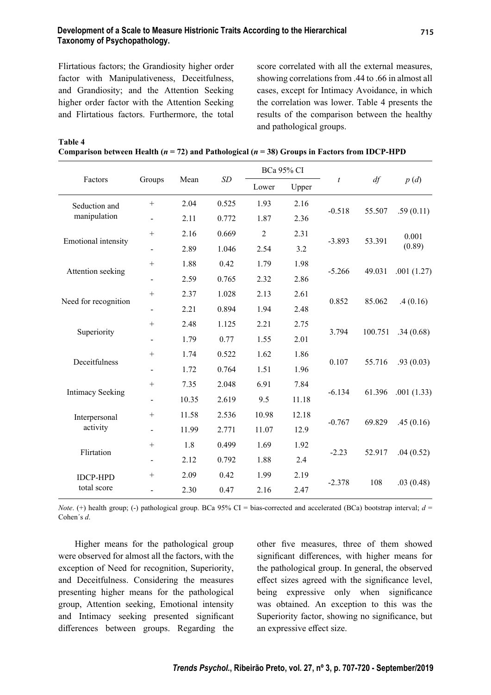#### **Development of a Scale to Measure Histrionic Traits According to the Hierarchical Taxonomy of Psychopathology.**

Flirtatious factors; the Grandiosity higher order factor with Manipulativeness, Deceitfulness, and Grandiosity; and the Attention Seeking higher order factor with the Attention Seeking and Flirtatious factors. Furthermore, the total score correlated with all the external measures, showing correlations from .44 to .66 in almost all cases, except for Intimacy Avoidance, in which the correlation was lower. Table 4 presents the results of the comparison between the healthy and pathological groups.

**Table 4**

**Comparison between Health (***n* **= 72) and Pathological (***n* **= 38) Groups in Factors from IDCP-HPD**

|                         |                              | Mean<br>Groups |       | <b>BCa 95% CI</b> |       |                  |           |                 |
|-------------------------|------------------------------|----------------|-------|-------------------|-------|------------------|-----------|-----------------|
| Factors                 |                              |                | SD    | Lower             | Upper | $\boldsymbol{t}$ | df        | p(d)            |
| Seduction and           | $+$                          | 2.04           | 0.525 | 1.93              | 2.16  | $-0.518$         | 55.507    | .59(0.11)       |
| manipulation            | $\overline{\phantom{0}}$     | 2.11           | 0.772 | 1.87              | 2.36  |                  |           |                 |
|                         | $^{+}$                       | 2.16           | 0.669 | $\overline{2}$    | 2.31  | $-3.893$         | 53.391    | 0.001<br>(0.89) |
| Emotional intensity     |                              | 2.89           | 1.046 | 2.54              | 3.2   |                  |           |                 |
|                         | $^{+}$                       | 1.88           | 0.42  | 1.79              | 1.98  |                  |           | .001(1.27)      |
| Attention seeking       | $\qquad \qquad \blacksquare$ | 2.59           | 0.765 | 2.32              | 2.86  | $-5.266$         | 49.031    |                 |
|                         | $^{+}$                       | 2.37           | 1.028 | 2.13              | 2.61  | 0.852            | 85.062    | .4(0.16)        |
| Need for recognition    | $\overline{\phantom{0}}$     | 2.21           | 0.894 | 1.94              | 2.48  |                  |           |                 |
| Superiority             | $^{+}$                       | 2.48           | 1.125 | 2.21              | 2.75  | 3.794            | 100.751   | .34(0.68)       |
|                         | $\blacksquare$               | 1.79           | 0.77  | 1.55              | 2.01  |                  |           |                 |
| Deceitfulness           |                              | 1.74           | 0.522 | 1.62              | 1.86  | 0.107            | 55.716    | .93(0.03)       |
|                         | -                            | 1.72           | 0.764 | 1.51              | 1.96  |                  |           |                 |
| <b>Intimacy Seeking</b> | $^{+}$                       | 7.35           | 2.048 | 6.91              | 7.84  | $-6.134$         | 61.396    | .001(1.33)      |
|                         |                              | 10.35          | 2.619 | 9.5               | 11.18 |                  |           |                 |
| Interpersonal           | $^{+}$                       | 11.58          | 2.536 | 10.98             | 12.18 | $-0.767$         | 69.829    | .45(0.16)       |
| activity                | $\overline{\phantom{0}}$     | 11.99          | 2.771 | 11.07             | 12.9  |                  |           |                 |
| Flirtation              | $+$                          | 1.8            | 0.499 | 1.69              | 1.92  | $-2.23$          | 52.917    | .04(0.52)       |
|                         |                              | 2.12           | 0.792 | 1.88              | 2.4   |                  |           |                 |
| <b>IDCP-HPD</b>         | $^{+}$                       | 2.09           | 0.42  | 1.99              | 2.19  |                  |           |                 |
| total score             |                              | 2.30           | 0.47  | 2.16              | 2.47  | $-2.378$<br>108  | .03(0.48) |                 |

*Note*. (+) health group; (-) pathological group. BCa 95% CI = bias-corrected and accelerated (BCa) bootstrap interval;  $d$  = Cohen´s *d*.

Higher means for the pathological group were observed for almost all the factors, with the exception of Need for recognition, Superiority, and Deceitfulness. Considering the measures presenting higher means for the pathological group, Attention seeking, Emotional intensity and Intimacy seeking presented significant differences between groups. Regarding the other five measures, three of them showed significant differences, with higher means for the pathological group. In general, the observed effect sizes agreed with the significance level, being expressive only when significance was obtained. An exception to this was the Superiority factor, showing no significance, but an expressive effect size.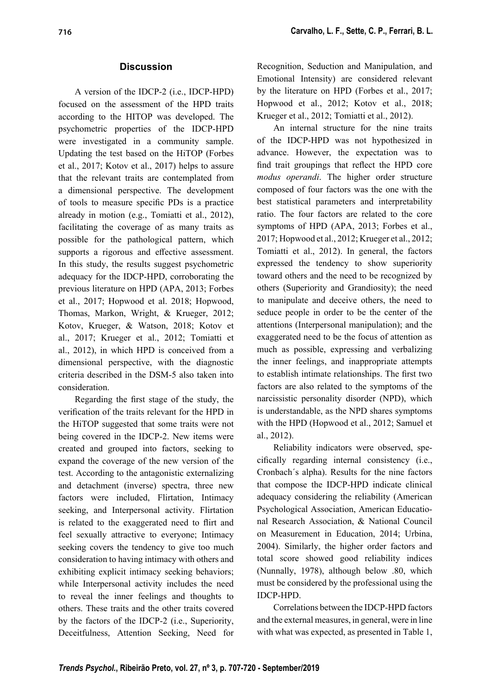# **Discussion**

A version of the IDCP-2 (i.e., IDCP-HPD) focused on the assessment of the HPD traits according to the HITOP was developed. The psychometric properties of the IDCP-HPD were investigated in a community sample. Updating the test based on the HiTOP (Forbes et al., 2017; Kotov et al., 2017) helps to assure that the relevant traits are contemplated from a dimensional perspective. The development of tools to measure specific PDs is a practice already in motion (e.g., Tomiatti et al., 2012), facilitating the coverage of as many traits as possible for the pathological pattern, which supports a rigorous and effective assessment. In this study, the results suggest psychometric adequacy for the IDCP-HPD, corroborating the previous literature on HPD (APA, 2013; Forbes et al., 2017; Hopwood et al. 2018; Hopwood, Thomas, Markon, Wright, & Krueger, 2012; Kotov, Krueger, & Watson, 2018; Kotov et al., 2017; Krueger et al., 2012; Tomiatti et al., 2012), in which HPD is conceived from a dimensional perspective, with the diagnostic criteria described in the DSM-5 also taken into consideration.

Regarding the first stage of the study, the verification of the traits relevant for the HPD in the HiTOP suggested that some traits were not being covered in the IDCP-2. New items were created and grouped into factors, seeking to expand the coverage of the new version of the test. According to the antagonistic externalizing and detachment (inverse) spectra, three new factors were included, Flirtation, Intimacy seeking, and Interpersonal activity. Flirtation is related to the exaggerated need to flirt and feel sexually attractive to everyone; Intimacy seeking covers the tendency to give too much consideration to having intimacy with others and exhibiting explicit intimacy seeking behaviors; while Interpersonal activity includes the need to reveal the inner feelings and thoughts to others. These traits and the other traits covered by the factors of the IDCP-2 (i.e., Superiority, Deceitfulness, Attention Seeking, Need for

Recognition, Seduction and Manipulation, and Emotional Intensity) are considered relevant by the literature on HPD (Forbes et al., 2017; Hopwood et al., 2012; Kotov et al., 2018; Krueger et al., 2012; Tomiatti et al., 2012).

An internal structure for the nine traits of the IDCP-HPD was not hypothesized in advance. However, the expectation was to find trait groupings that reflect the HPD core *modus operandi*. The higher order structure composed of four factors was the one with the best statistical parameters and interpretability ratio. The four factors are related to the core symptoms of HPD (APA, 2013; Forbes et al., 2017; Hopwood et al., 2012; Krueger et al., 2012; Tomiatti et al., 2012). In general, the factors expressed the tendency to show superiority toward others and the need to be recognized by others (Superiority and Grandiosity); the need to manipulate and deceive others, the need to seduce people in order to be the center of the attentions (Interpersonal manipulation); and the exaggerated need to be the focus of attention as much as possible, expressing and verbalizing the inner feelings, and inappropriate attempts to establish intimate relationships. The first two factors are also related to the symptoms of the narcissistic personality disorder (NPD), which is understandable, as the NPD shares symptoms with the HPD (Hopwood et al., 2012; Samuel et al., 2012).

Reliability indicators were observed, specifically regarding internal consistency (i.e., Cronbach´s alpha). Results for the nine factors that compose the IDCP-HPD indicate clinical adequacy considering the reliability (American Psychological Association, American Educational Research Association, & National Council on Measurement in Education, 2014; Urbina, 2004). Similarly, the higher order factors and total score showed good reliability indices (Nunnally, 1978), although below .80, which must be considered by the professional using the IDCP-HPD.

Correlations between the IDCP-HPD factors and the external measures, in general, were in line with what was expected, as presented in Table 1,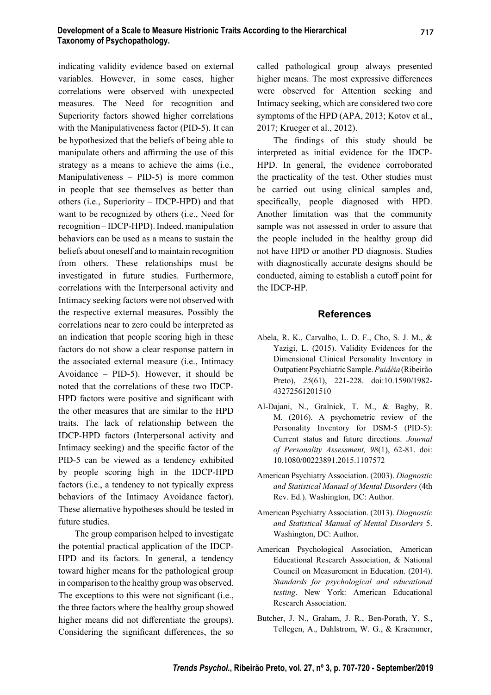indicating validity evidence based on external variables. However, in some cases, higher correlations were observed with unexpected measures. The Need for recognition and Superiority factors showed higher correlations with the Manipulativeness factor (PID-5). It can be hypothesized that the beliefs of being able to manipulate others and affirming the use of this strategy as a means to achieve the aims (i.e., Manipulativeness – PID-5) is more common in people that see themselves as better than others (i.e., Superiority – IDCP-HPD) and that want to be recognized by others (i.e., Need for recognition – IDCP-HPD). Indeed, manipulation behaviors can be used as a means to sustain the beliefs about oneself and to maintain recognition from others. These relationships must be investigated in future studies. Furthermore, correlations with the Interpersonal activity and Intimacy seeking factors were not observed with the respective external measures. Possibly the correlations near to zero could be interpreted as an indication that people scoring high in these factors do not show a clear response pattern in the associated external measure (i.e., Intimacy Avoidance – PID-5). However, it should be noted that the correlations of these two IDCP-HPD factors were positive and significant with the other measures that are similar to the HPD traits. The lack of relationship between the IDCP-HPD factors (Interpersonal activity and Intimacy seeking) and the specific factor of the PID-5 can be viewed as a tendency exhibited by people scoring high in the IDCP-HPD factors (i.e., a tendency to not typically express behaviors of the Intimacy Avoidance factor). These alternative hypotheses should be tested in future studies.

The group comparison helped to investigate the potential practical application of the IDCP-HPD and its factors. In general, a tendency toward higher means for the pathological group in comparison to the healthy group was observed. The exceptions to this were not significant (i.e., the three factors where the healthy group showed higher means did not differentiate the groups). Considering the significant differences, the so called pathological group always presented higher means. The most expressive differences were observed for Attention seeking and Intimacy seeking, which are considered two core symptoms of the HPD (APA, 2013; Kotov et al., 2017; Krueger et al., 2012).

The findings of this study should be interpreted as initial evidence for the IDCP-HPD. In general, the evidence corroborated the practicality of the test. Other studies must be carried out using clinical samples and, specifically, people diagnosed with HPD. Another limitation was that the community sample was not assessed in order to assure that the people included in the healthy group did not have HPD or another PD diagnosis. Studies with diagnostically accurate designs should be conducted, aiming to establish a cutoff point for the IDCP-HP.

#### **References**

- Abela, R. K., Carvalho, L. D. F., Cho, S. J. M., & Yazigi, L. (2015). Validity Evidences for the Dimensional Clinical Personality Inventory in Outpatient Psychiatric Sample. *Paidéia* (Ribeirão Preto), *25*(61), 221-228. doi:10.1590/1982- 43272561201510
- Al-Dajani, N., Gralnick, T. M., & Bagby, R. M. (2016). A psychometric review of the Personality Inventory for DSM-5 (PID-5): Current status and future directions. *Journal of Personality Assessment, 98*(1), 62-81. doi: 10.1080/00223891.2015.1107572
- American Psychiatry Association. (2003). *Diagnostic and Statistical Manual of Mental Disorders* (4th Rev. Ed.). Washington, DC: Author.
- American Psychiatry Association. (2013). *Diagnostic and Statistical Manual of Mental Disorders* 5. Washington, DC: Author.
- American Psychological Association, American Educational Research Association, & National Council on Measurement in Education. (2014). *Standards for psychological and educational testing*. New York: American Educational Research Association.
- Butcher, J. N., Graham, J. R., Ben-Porath, Y. S., Tellegen, A., Dahlstrom, W. G., & Kraemmer,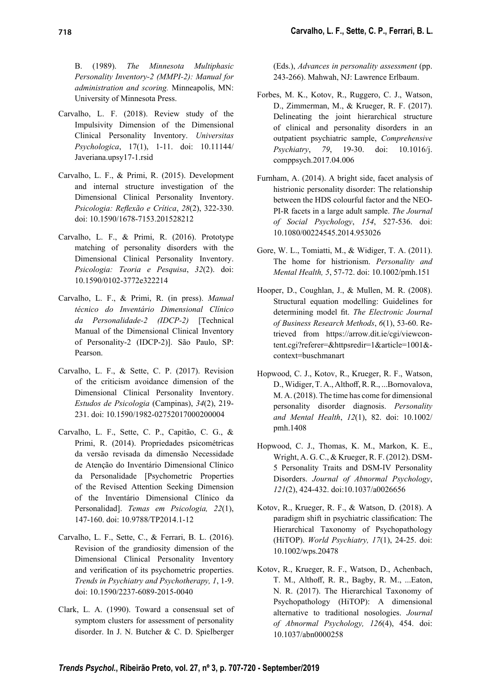B. (1989). *The Minnesota Multiphasic Personality Inventory-2 (MMPI-2): Manual for administration and scoring.* Minneapolis, MN: University of Minnesota Press.

- Carvalho, L. F. (2018). Review study of the Impulsivity Dimension of the Dimensional Clinical Personality Inventory. *Universitas Psychologica*, 17(1), 1-11. doi: 10.11144/ Javeriana.upsy17-1.rsid
- Carvalho, L. F., & Primi, R. (2015). Development and internal structure investigation of the Dimensional Clinical Personality Inventory. *Psicologia: Refl exão e Crítica*, *28*(2), 322-330. doi: 10.1590/1678-7153.201528212
- Carvalho, L. F., & Primi, R. (2016). Prototype matching of personality disorders with the Dimensional Clinical Personality Inventory. *Psicologia: Teoria e Pesquisa*, *32*(2). doi: 10.1590/0102-3772e322214
- Carvalho, L. F., & Primi, R. (in press). *Manual técnico do Inventário Dimensional Clínico da Personalidade-2 (IDCP-2)* [Technical Manual of the Dimensional Clinical Inventory of Personality-2 (IDCP-2)]. São Paulo, SP: Pearson.
- Carvalho, L. F., & Sette, C. P. (2017). Revision of the criticism avoidance dimension of the Dimensional Clinical Personality Inventory. *Estudos de Psicologia* (Campinas), *34*(2), 219- 231. doi: 10.1590/1982-02752017000200004
- Carvalho, L. F., Sette, C. P., Capitão, C. G., & Primi, R. (2014). Propriedades psicométricas da versão revisada da dimensão Necessidade de Atenção do Inventário Dimensional Clínico da Personalidade [Psychometric Properties of the Revised Attention Seeking Dimension of the Inventário Dimensional Clínico da Personalidad]. *Temas em Psicologia, 22*(1), 147-160. doi: 10.9788/TP2014.1-12
- Carvalho, L. F., Sette, C., & Ferrari, B. L. (2016). Revision of the grandiosity dimension of the Dimensional Clinical Personality Inventory and verification of its psychometric properties. *Trends in Psychiatry and Psychotherapy, 1*, 1-9. doi: 10.1590/2237-6089-2015-0040
- Clark, L. A. (1990). Toward a consensual set of symptom clusters for assessment of personality disorder. In J. N. Butcher & C. D. Spielberger

(Eds.), *Advances in personality assessment* (pp. 243-266). Mahwah, NJ: Lawrence Erlbaum.

- Forbes, M. K., Kotov, R., Ruggero, C. J., Watson, D., Zimmerman, M., & Krueger, R. F. (2017). Delineating the joint hierarchical structure of clinical and personality disorders in an outpatient psychiatric sample, *Comprehensive Psychiatry*, *79*, 19-30. doi: 10.1016/j. comppsych.2017.04.006
- Furnham, A. (2014). A bright side, facet analysis of histrionic personality disorder: The relationship between the HDS colourful factor and the NEO-PI-R facets in a large adult sample. *The Journal of Social Psychology*, *154*, 527-536. doi: 10.1080/00224545.2014.953026
- Gore, W. L., Tomiatti, M., & Widiger, T. A. (2011). The home for histrionism. *Personality and Mental Health, 5*, 57-72. doi: 10.1002/pmh.151
- Hooper, D., Coughlan, J., & Mullen, M. R. (2008). Structural equation modelling: Guidelines for determining model fit. *The Electronic Journal of Business Research Methods*, *6*(1), 53-60. Retrieved from https://arrow.dit.ie/cgi/viewcontent.cgi?referer=&httpsredir=1&article=1001& context=buschmanart
- Hopwood, C. J., Kotov, R., Krueger, R. F., Watson, D., Widiger, T. A., Althoff, R. R., ... Bornovalova, M. A. (2018). The time has come for dimensional personality disorder diagnosis. *Personality and Mental Health*, *12*(1), 82. doi: 10.1002/ pmh.1408
- Hopwood, C. J., Thomas, K. M., Markon, K. E., Wright, A. G. C., & Krueger, R. F. (2012). DSM-5 Personality Traits and DSM-IV Personality Disorders. *Journal of Abnormal Psychology*, *121*(2), 424-432. doi:10.1037/a0026656
- Kotov, R., Krueger, R. F., & Watson, D. (2018). A paradigm shift in psychiatric classification: The Hierarchical Taxonomy of Psychopathology (HiTOP). *World Psychiatry, 17*(1), 24-25. doi: 10.1002/wps.20478
- Kotov, R., Krueger, R. F., Watson, D., Achenbach, T. M., Althoff, R. R., Bagby, R. M., ... Eaton, N. R. (2017). The Hierarchical Taxonomy of Psychopathology (HiTOP): A dimensional alternative to traditional nosologies. *Journal of Abnormal Psychology, 126*(4), 454. doi: 10.1037/abn0000258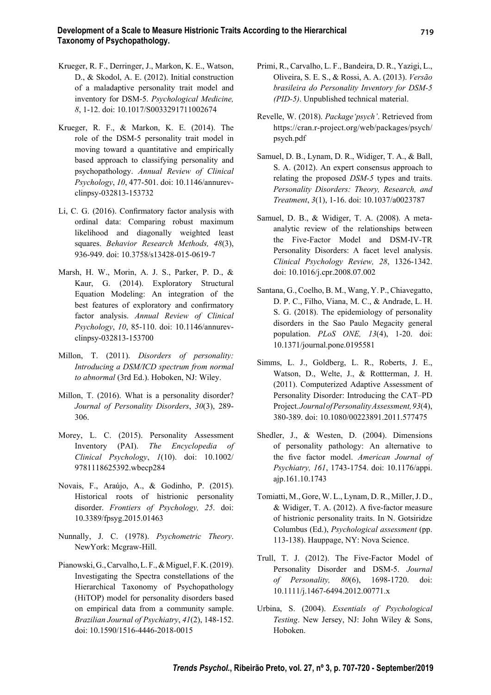- Krueger, R. F., Derringer, J., Markon, K. E., Watson, D., & Skodol, A. E. (2012). Initial construction of a maladaptive personality trait model and inventory for DSM-5. *Psychological Medicine, 8*, 1-12. doi: 10.1017/S0033291711002674
- Krueger, R. F., & Markon, K. E. (2014). The role of the DSM-5 personality trait model in moving toward a quantitative and empirically based approach to classifying personality and psychopathology. *Annual Review of Clinical Psychology*, *10*, 477-501. doi: 10.1146/annurevclinpsy-032813-153732
- Li, C. G. (2016). Confirmatory factor analysis with ordinal data: Comparing robust maximum likelihood and diagonally weighted least squares. *Behavior Research Methods, 48*(3), 936-949. doi: 10.3758/s13428-015-0619-7
- Marsh, H. W., Morin, A. J. S., Parker, P. D., & Kaur, G. (2014). Exploratory Structural Equation Modeling: An integration of the best features of exploratory and confirmatory factor analysis. *Annual Review of Clinical Psychology*, *10*, 85-110. doi: 10.1146/annurevclinpsy-032813-153700
- Millon, T. (2011). *Disorders of personality: Introducing a DSM/ICD spectrum from normal to abnormal* (3rd Ed.). Hoboken, NJ: Wiley.
- Millon, T. (2016). What is a personality disorder? *Journal of Personality Disorders*, *30*(3), 289- 306.
- Morey, L. C. (2015). Personality Assessment Inventory (PAI). *The Encyclopedia of Clinical Psychology*, *1*(10). doi: 10.1002/ 9781118625392.wbecp284
- Novais, F., Araújo, A., & Godinho, P. (2015). Historical roots of histrionic personality disorder. *Frontiers of Psychology, 25*. doi: 10.3389/fpsyg.2015.01463
- Nunnally, J. C. (1978). *Psychometric Theory*. NewYork: Mcgraw-Hill.
- Pianowski, G., Carvalho, L. F., & Miguel, F. K. (2019). Investigating the Spectra constellations of the Hierarchical Taxonomy of Psychopathology (HiTOP) model for personality disorders based on empirical data from a community sample. *Brazilian Journal of Psychiatry*, *41*(2), 148-152. doi: 10.1590/1516-4446-2018-0015
- Primi, R., Carvalho, L. F., Bandeira, D. R., Yazigi, L., Oliveira, S. E. S., & Rossi, A. A. (2013). *Versão brasileira do Personality Inventory for DSM-5 (PID-5)*. Unpublished technical material.
- Revelle, W. (2018). *Package'psych'*. Retrieved from https://cran.r-project.org/web/packages/psych/ psych.pdf
- Samuel, D. B., Lynam, D. R., Widiger, T. A., & Ball, S. A. (2012). An expert consensus approach to relating the proposed *DSM-5* types and traits. *Personality Disorders: Theory, Research, and Treatment*, *3*(1), 1-16. doi: 10.1037/a0023787
- Samuel, D. B., & Widiger, T. A. (2008). A metaanalytic review of the relationships between the Five-Factor Model and DSM-IV-TR Personality Disorders: A facet level analysis. *Clinical Psychology Review, 28*, 1326-1342. doi: 10.1016/j.cpr.2008.07.002
- Santana, G., Coelho, B. M., Wang, Y. P., Chiavegatto, D. P. C., Filho, Viana, M. C., & Andrade, L. H. S. G. (2018). The epidemiology of personality disorders in the Sao Paulo Megacity general population. *PLoS ONE, 13*(4), 1-20. doi: 10.1371/journal.pone.0195581
- Simms, L. J., Goldberg, L. R., Roberts, J. E., Watson, D., Welte, J., & Rottterman, J. H. (2011). Computerized Adaptive Assessment of Personality Disorder: Introducing the CAT–PD Project. *Journal of Personality Assessment, 93*(4), 380-389. doi: 10.1080/00223891.2011.577475
- Shedler, J., & Westen, D. (2004). Dimensions of personality pathology: An alternative to the five factor model. American Journal of *Psychiatry, 161*, 1743-1754. doi: 10.1176/appi. ajp.161.10.1743
- Tomiatti, M., Gore, W. L., Lynam, D. R., Miller, J. D., & Widiger, T. A. (2012). A five-factor measure of histrionic personality traits. In N. Gotsiridze Columbus (Ed.), *Psychological assessment* (pp. 113-138). Hauppage, NY: Nova Science.
- Trull, T. J. (2012). The Five-Factor Model of Personality Disorder and DSM-5. *Journal of Personality, 80*(6), 1698-1720. doi: 10.1111/j.1467-6494.2012.00771.x
- Urbina, S. (2004). *Essentials of Psychological Testing*. New Jersey, NJ: John Wiley & Sons, Hoboken.